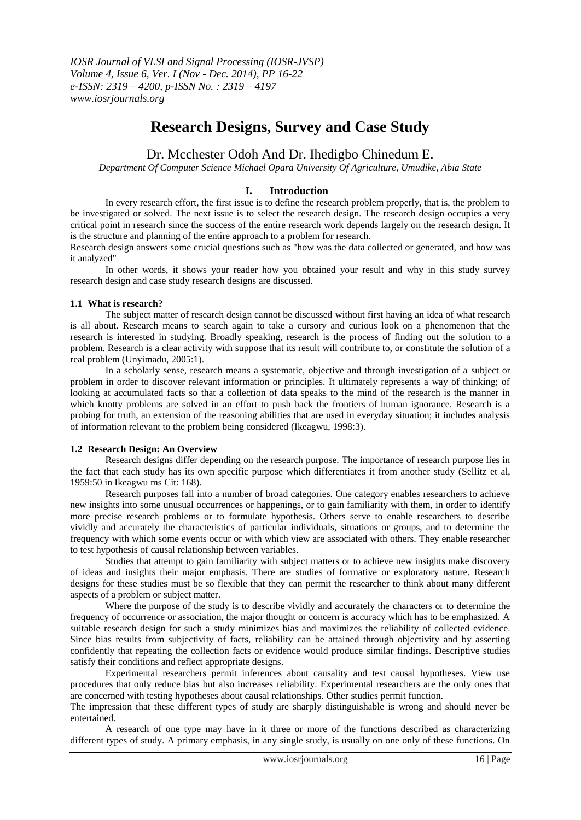# **Research Designs, Survey and Case Study**

# Dr. Mcchester Odoh And Dr. Ihedigbo Chinedum E.

*Department Of Computer Science Michael Opara University Of Agriculture, Umudike, Abia State*

## **I. Introduction**

In every research effort, the first issue is to define the research problem properly, that is, the problem to be investigated or solved. The next issue is to select the research design. The research design occupies a very critical point in research since the success of the entire research work depends largely on the research design. It is the structure and planning of the entire approach to a problem for research.

Research design answers some crucial questions such as "how was the data collected or generated, and how was it analyzed"

In other words, it shows your reader how you obtained your result and why in this study survey research design and case study research designs are discussed.

#### **1.1 What is research?**

The subject matter of research design cannot be discussed without first having an idea of what research is all about. Research means to search again to take a cursory and curious look on a phenomenon that the research is interested in studying. Broadly speaking, research is the process of finding out the solution to a problem. Research is a clear activity with suppose that its result will contribute to, or constitute the solution of a real problem (Unyimadu, 2005:1).

In a scholarly sense, research means a systematic, objective and through investigation of a subject or problem in order to discover relevant information or principles. It ultimately represents a way of thinking; of looking at accumulated facts so that a collection of data speaks to the mind of the research is the manner in which knotty problems are solved in an effort to push back the frontiers of human ignorance. Research is a probing for truth, an extension of the reasoning abilities that are used in everyday situation; it includes analysis of information relevant to the problem being considered (Ikeagwu, 1998:3).

#### **1.2 Research Design: An Overview**

Research designs differ depending on the research purpose. The importance of research purpose lies in the fact that each study has its own specific purpose which differentiates it from another study (Sellitz et al, 1959:50 in Ikeagwu ms Cit: 168).

Research purposes fall into a number of broad categories. One category enables researchers to achieve new insights into some unusual occurrences or happenings, or to gain familiarity with them, in order to identify more precise research problems or to formulate hypothesis. Others serve to enable researchers to describe vividly and accurately the characteristics of particular individuals, situations or groups, and to determine the frequency with which some events occur or with which view are associated with others. They enable researcher to test hypothesis of causal relationship between variables.

Studies that attempt to gain familiarity with subject matters or to achieve new insights make discovery of ideas and insights their major emphasis. There are studies of formative or exploratory nature. Research designs for these studies must be so flexible that they can permit the researcher to think about many different aspects of a problem or subject matter.

Where the purpose of the study is to describe vividly and accurately the characters or to determine the frequency of occurrence or association, the major thought or concern is accuracy which has to be emphasized. A suitable research design for such a study minimizes bias and maximizes the reliability of collected evidence. Since bias results from subjectivity of facts, reliability can be attained through objectivity and by asserting confidently that repeating the collection facts or evidence would produce similar findings. Descriptive studies satisfy their conditions and reflect appropriate designs.

Experimental researchers permit inferences about causality and test causal hypotheses. View use procedures that only reduce bias but also increases reliability. Experimental researchers are the only ones that are concerned with testing hypotheses about causal relationships. Other studies permit function.

The impression that these different types of study are sharply distinguishable is wrong and should never be entertained.

A research of one type may have in it three or more of the functions described as characterizing different types of study. A primary emphasis, in any single study, is usually on one only of these functions. On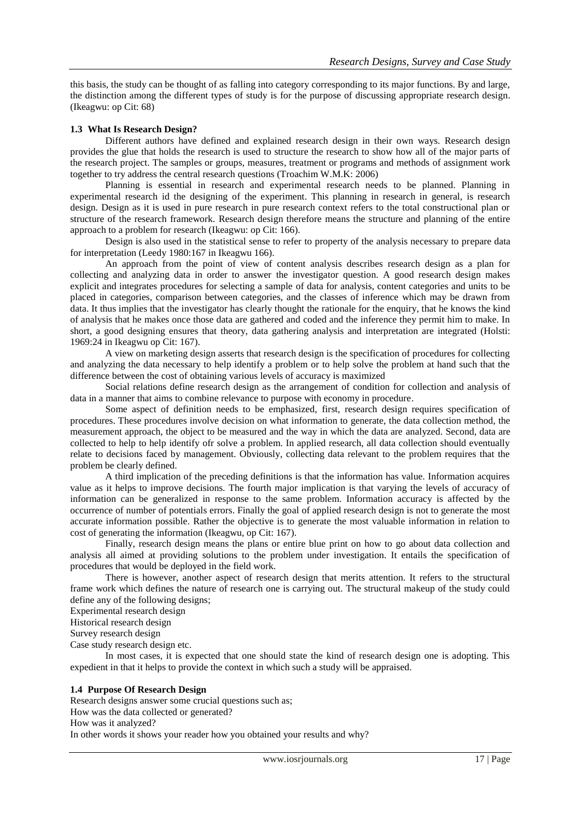this basis, the study can be thought of as falling into category corresponding to its major functions. By and large, the distinction among the different types of study is for the purpose of discussing appropriate research design. (Ikeagwu: op Cit: 68)

## **1.3 What Is Research Design?**

Different authors have defined and explained research design in their own ways. Research design provides the glue that holds the research is used to structure the research to show how all of the major parts of the research project. The samples or groups, measures, treatment or programs and methods of assignment work together to try address the central research questions (Troachim W.M.K: 2006)

Planning is essential in research and experimental research needs to be planned. Planning in experimental research id the designing of the experiment. This planning in research in general, is research design. Design as it is used in pure research in pure research context refers to the total constructional plan or structure of the research framework. Research design therefore means the structure and planning of the entire approach to a problem for research (Ikeagwu: op Cit: 166).

Design is also used in the statistical sense to refer to property of the analysis necessary to prepare data for interpretation (Leedy 1980:167 in Ikeagwu 166).

An approach from the point of view of content analysis describes research design as a plan for collecting and analyzing data in order to answer the investigator question. A good research design makes explicit and integrates procedures for selecting a sample of data for analysis, content categories and units to be placed in categories, comparison between categories, and the classes of inference which may be drawn from data. It thus implies that the investigator has clearly thought the rationale for the enquiry, that he knows the kind of analysis that he makes once those data are gathered and coded and the inference they permit him to make. In short, a good designing ensures that theory, data gathering analysis and interpretation are integrated (Holsti: 1969:24 in Ikeagwu op Cit: 167).

A view on marketing design asserts that research design is the specification of procedures for collecting and analyzing the data necessary to help identify a problem or to help solve the problem at hand such that the difference between the cost of obtaining various levels of accuracy is maximized

Social relations define research design as the arrangement of condition for collection and analysis of data in a manner that aims to combine relevance to purpose with economy in procedure.

Some aspect of definition needs to be emphasized, first, research design requires specification of procedures. These procedures involve decision on what information to generate, the data collection method, the measurement approach, the object to be measured and the way in which the data are analyzed. Second, data are collected to help to help identify ofr solve a problem. In applied research, all data collection should eventually relate to decisions faced by management. Obviously, collecting data relevant to the problem requires that the problem be clearly defined.

A third implication of the preceding definitions is that the information has value. Information acquires value as it helps to improve decisions. The fourth major implication is that varying the levels of accuracy of information can be generalized in response to the same problem. Information accuracy is affected by the occurrence of number of potentials errors. Finally the goal of applied research design is not to generate the most accurate information possible. Rather the objective is to generate the most valuable information in relation to cost of generating the information (Ikeagwu, op Cit: 167).

Finally, research design means the plans or entire blue print on how to go about data collection and analysis all aimed at providing solutions to the problem under investigation. It entails the specification of procedures that would be deployed in the field work.

There is however, another aspect of research design that merits attention. It refers to the structural frame work which defines the nature of research one is carrying out. The structural makeup of the study could define any of the following designs;

Experimental research design

Historical research design

Survey research design

Case study research design etc.

In most cases, it is expected that one should state the kind of research design one is adopting. This expedient in that it helps to provide the context in which such a study will be appraised.

## **1.4 Purpose Of Research Design**

Research designs answer some crucial questions such as; How was the data collected or generated? How was it analyzed? In other words it shows your reader how you obtained your results and why?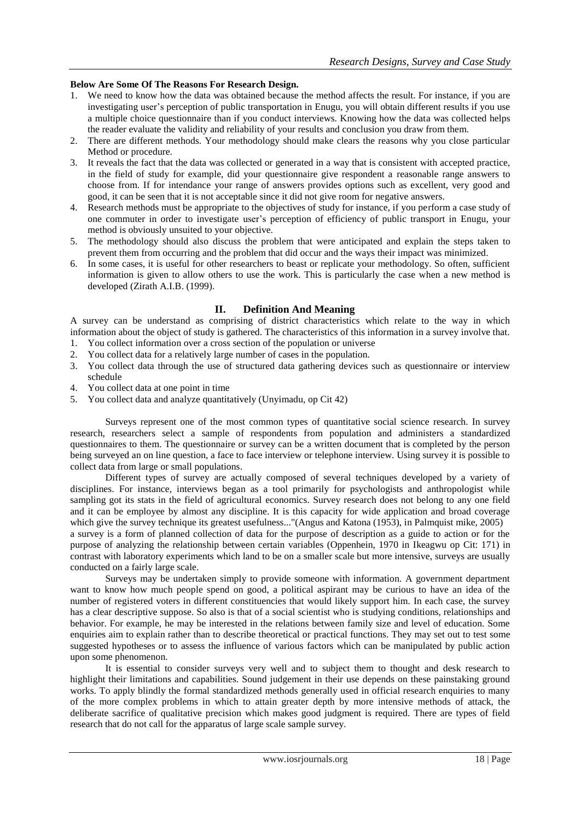## **Below Are Some Of The Reasons For Research Design.**

- 1. We need to know how the data was obtained because the method affects the result. For instance, if you are investigating user's perception of public transportation in Enugu, you will obtain different results if you use a multiple choice questionnaire than if you conduct interviews. Knowing how the data was collected helps the reader evaluate the validity and reliability of your results and conclusion you draw from them.
- 2. There are different methods. Your methodology should make clears the reasons why you close particular Method or procedure.
- 3. It reveals the fact that the data was collected or generated in a way that is consistent with accepted practice, in the field of study for example, did your questionnaire give respondent a reasonable range answers to choose from. If for intendance your range of answers provides options such as excellent, very good and good, it can be seen that it is not acceptable since it did not give room for negative answers.
- 4. Research methods must be appropriate to the objectives of study for instance, if you perform a case study of one commuter in order to investigate user's perception of efficiency of public transport in Enugu, your method is obviously unsuited to your objective.
- 5. The methodology should also discuss the problem that were anticipated and explain the steps taken to prevent them from occurring and the problem that did occur and the ways their impact was minimized.
- 6. In some cases, it is useful for other researchers to beast or replicate your methodology. So often, sufficient information is given to allow others to use the work. This is particularly the case when a new method is developed (Zirath A.I.B. (1999).

## **II. Definition And Meaning**

A survey can be understand as comprising of district characteristics which relate to the way in which information about the object of study is gathered. The characteristics of this information in a survey involve that.

- 1. You collect information over a cross section of the population or universe<br>2. You collect data for a relatively large number of cases in the population.
- You collect data for a relatively large number of cases in the population.
- 3. You collect data through the use of structured data gathering devices such as questionnaire or interview schedule
- 4. You collect data at one point in time
- 5. You collect data and analyze quantitatively (Unyimadu, op Cit 42)

Surveys represent one of the most common types of quantitative social science research. In survey research, researchers select a sample of respondents from population and administers a standardized questionnaires to them. The questionnaire or survey can be a written document that is completed by the person being surveyed an on line question, a face to face interview or telephone interview. Using survey it is possible to collect data from large or small populations.

Different types of survey are actually composed of several techniques developed by a variety of disciplines. For instance, interviews began as a tool primarily for psychologists and anthropologist while sampling got its stats in the field of agricultural economics. Survey research does not belong to any one field and it can be employee by almost any discipline. It is this capacity for wide application and broad coverage which give the survey technique its greatest usefulness..."(Angus and Katona (1953), in Palmquist mike, 2005) a survey is a form of planned collection of data for the purpose of description as a guide to action or for the purpose of analyzing the relationship between certain variables (Oppenhein, 1970 in Ikeagwu op Cit: 171) in contrast with laboratory experiments which land to be on a smaller scale but more intensive, surveys are usually conducted on a fairly large scale.

Surveys may be undertaken simply to provide someone with information. A government department want to know how much people spend on good, a political aspirant may be curious to have an idea of the number of registered voters in different constituencies that would likely support him. In each case, the survey has a clear descriptive suppose. So also is that of a social scientist who is studying conditions, relationships and behavior. For example, he may be interested in the relations between family size and level of education. Some enquiries aim to explain rather than to describe theoretical or practical functions. They may set out to test some suggested hypotheses or to assess the influence of various factors which can be manipulated by public action upon some phenomenon.

It is essential to consider surveys very well and to subject them to thought and desk research to highlight their limitations and capabilities. Sound judgement in their use depends on these painstaking ground works. To apply blindly the formal standardized methods generally used in official research enquiries to many of the more complex problems in which to attain greater depth by more intensive methods of attack, the deliberate sacrifice of qualitative precision which makes good judgment is required. There are types of field research that do not call for the apparatus of large scale sample survey.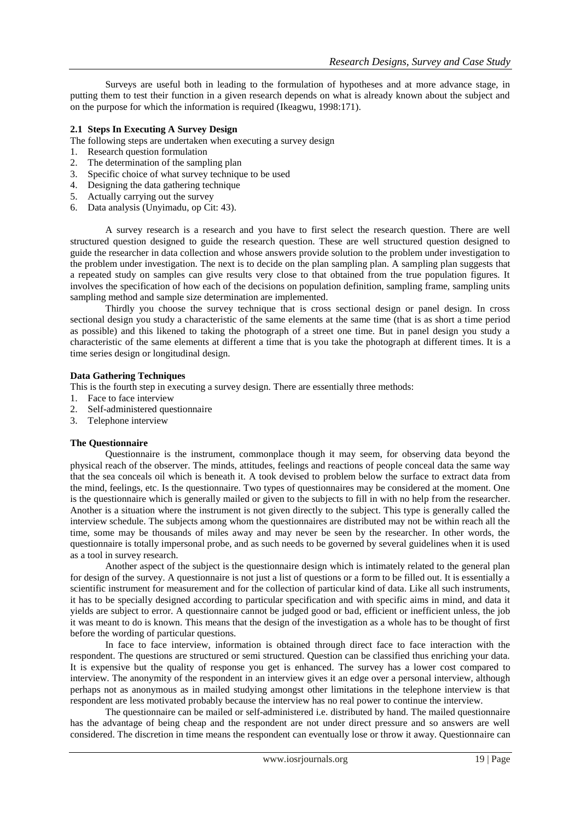Surveys are useful both in leading to the formulation of hypotheses and at more advance stage, in putting them to test their function in a given research depends on what is already known about the subject and on the purpose for which the information is required (Ikeagwu, 1998:171).

## **2.1 Steps In Executing A Survey Design**

The following steps are undertaken when executing a survey design

- 1. Research question formulation
- 2. The determination of the sampling plan<br>3. Specific choice of what survey technique
- Specific choice of what survey technique to be used
- 4. Designing the data gathering technique
- 5. Actually carrying out the survey
- 6. Data analysis (Unyimadu, op Cit: 43).

A survey research is a research and you have to first select the research question. There are well structured question designed to guide the research question. These are well structured question designed to guide the researcher in data collection and whose answers provide solution to the problem under investigation to the problem under investigation. The next is to decide on the plan sampling plan. A sampling plan suggests that a repeated study on samples can give results very close to that obtained from the true population figures. It involves the specification of how each of the decisions on population definition, sampling frame, sampling units sampling method and sample size determination are implemented.

Thirdly you choose the survey technique that is cross sectional design or panel design. In cross sectional design you study a characteristic of the same elements at the same time (that is as short a time period as possible) and this likened to taking the photograph of a street one time. But in panel design you study a characteristic of the same elements at different a time that is you take the photograph at different times. It is a time series design or longitudinal design.

#### **Data Gathering Techniques**

This is the fourth step in executing a survey design. There are essentially three methods:

- 1. Face to face interview
- 2. Self-administered questionnaire
- 3. Telephone interview

#### **The Questionnaire**

Questionnaire is the instrument, commonplace though it may seem, for observing data beyond the physical reach of the observer. The minds, attitudes, feelings and reactions of people conceal data the same way that the sea conceals oil which is beneath it. A took devised to problem below the surface to extract data from the mind, feelings, etc. Is the questionnaire. Two types of questionnaires may be considered at the moment. One is the questionnaire which is generally mailed or given to the subjects to fill in with no help from the researcher. Another is a situation where the instrument is not given directly to the subject. This type is generally called the interview schedule. The subjects among whom the questionnaires are distributed may not be within reach all the time, some may be thousands of miles away and may never be seen by the researcher. In other words, the questionnaire is totally impersonal probe, and as such needs to be governed by several guidelines when it is used as a tool in survey research.

Another aspect of the subject is the questionnaire design which is intimately related to the general plan for design of the survey. A questionnaire is not just a list of questions or a form to be filled out. It is essentially a scientific instrument for measurement and for the collection of particular kind of data. Like all such instruments, it has to be specially designed according to particular specification and with specific aims in mind, and data it yields are subject to error. A questionnaire cannot be judged good or bad, efficient or inefficient unless, the job it was meant to do is known. This means that the design of the investigation as a whole has to be thought of first before the wording of particular questions.

In face to face interview, information is obtained through direct face to face interaction with the respondent. The questions are structured or semi structured. Question can be classified thus enriching your data. It is expensive but the quality of response you get is enhanced. The survey has a lower cost compared to interview. The anonymity of the respondent in an interview gives it an edge over a personal interview, although perhaps not as anonymous as in mailed studying amongst other limitations in the telephone interview is that respondent are less motivated probably because the interview has no real power to continue the interview.

The questionnaire can be mailed or self-administered i.e. distributed by hand. The mailed questionnaire has the advantage of being cheap and the respondent are not under direct pressure and so answers are well considered. The discretion in time means the respondent can eventually lose or throw it away. Questionnaire can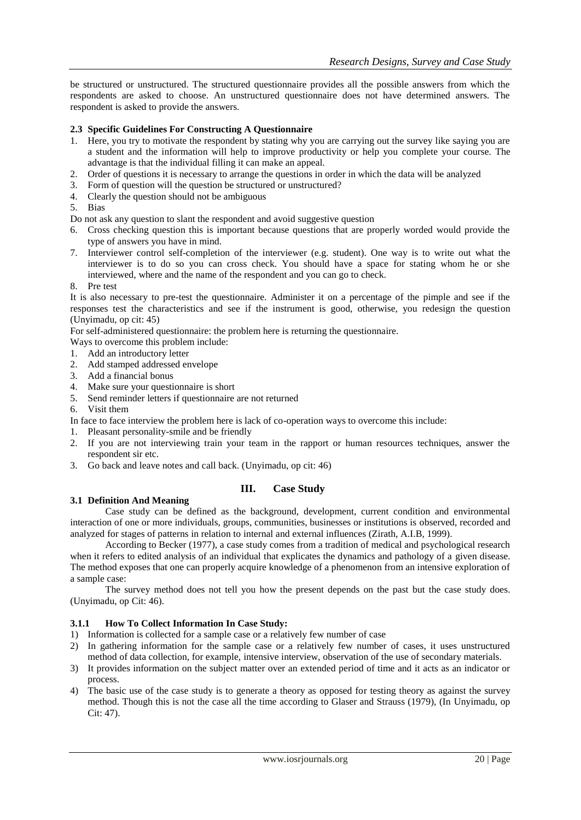be structured or unstructured. The structured questionnaire provides all the possible answers from which the respondents are asked to choose. An unstructured questionnaire does not have determined answers. The respondent is asked to provide the answers.

## **2.3 Specific Guidelines For Constructing A Questionnaire**

- 1. Here, you try to motivate the respondent by stating why you are carrying out the survey like saying you are a student and the information will help to improve productivity or help you complete your course. The advantage is that the individual filling it can make an appeal.
- 2. Order of questions it is necessary to arrange the questions in order in which the data will be analyzed
- 3. Form of question will the question be structured or unstructured?
- 4. Clearly the question should not be ambiguous
- 5. Bias
- Do not ask any question to slant the respondent and avoid suggestive question
- 6. Cross checking question this is important because questions that are properly worded would provide the type of answers you have in mind.
- 7. Interviewer control self-completion of the interviewer (e.g. student). One way is to write out what the interviewer is to do so you can cross check. You should have a space for stating whom he or she interviewed, where and the name of the respondent and you can go to check.
- 8. Pre test

It is also necessary to pre-test the questionnaire. Administer it on a percentage of the pimple and see if the responses test the characteristics and see if the instrument is good, otherwise, you redesign the question (Unyimadu, op cit: 45)

For self-administered questionnaire: the problem here is returning the questionnaire.

- Ways to overcome this problem include:
- 1. Add an introductory letter
- 2. Add stamped addressed envelope
- 3. Add a financial bonus
- 4. Make sure your questionnaire is short
- 5. Send reminder letters if questionnaire are not returned
- 6. Visit them
- In face to face interview the problem here is lack of co-operation ways to overcome this include:
- 1. Pleasant personality-smile and be friendly
- 2. If you are not interviewing train your team in the rapport or human resources techniques, answer the respondent sir etc.
- 3. Go back and leave notes and call back. (Unyimadu, op cit: 46)

## **III. Case Study**

## **3.1 Definition And Meaning**

Case study can be defined as the background, development, current condition and environmental interaction of one or more individuals, groups, communities, businesses or institutions is observed, recorded and analyzed for stages of patterns in relation to internal and external influences (Zirath, A.I.B, 1999).

According to Becker (1977), a case study comes from a tradition of medical and psychological research when it refers to edited analysis of an individual that explicates the dynamics and pathology of a given disease. The method exposes that one can properly acquire knowledge of a phenomenon from an intensive exploration of a sample case:

The survey method does not tell you how the present depends on the past but the case study does. (Unyimadu, op Cit: 46).

## **3.1.1 How To Collect Information In Case Study:**

- 1) Information is collected for a sample case or a relatively few number of case
- 2) In gathering information for the sample case or a relatively few number of cases, it uses unstructured method of data collection, for example, intensive interview, observation of the use of secondary materials.
- 3) It provides information on the subject matter over an extended period of time and it acts as an indicator or process.
- 4) The basic use of the case study is to generate a theory as opposed for testing theory as against the survey method. Though this is not the case all the time according to Glaser and Strauss (1979), (In Unyimadu, op Cit: 47).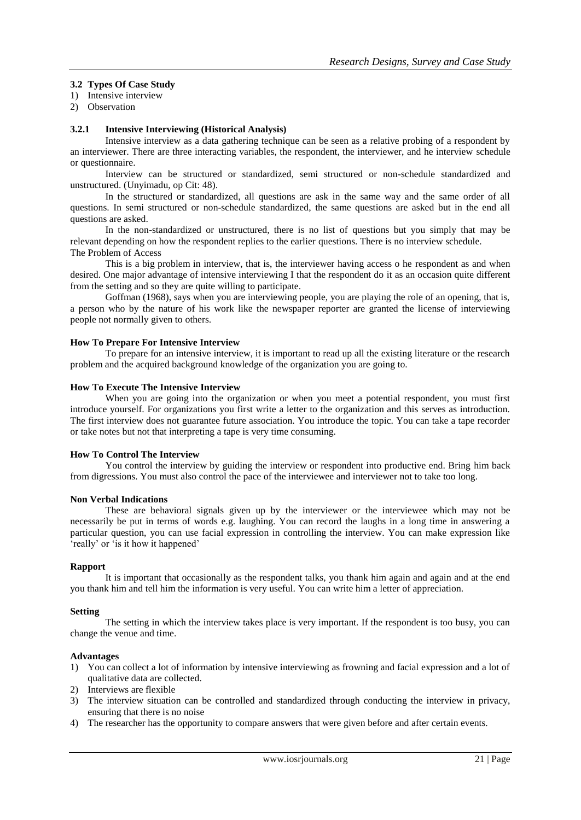# **3.2 Types Of Case Study**

1) Intensive interview

2) Observation

## **3.2.1 Intensive Interviewing (Historical Analysis)**

Intensive interview as a data gathering technique can be seen as a relative probing of a respondent by an interviewer. There are three interacting variables, the respondent, the interviewer, and he interview schedule or questionnaire.

Interview can be structured or standardized, semi structured or non-schedule standardized and unstructured. (Unyimadu, op Cit: 48).

In the structured or standardized, all questions are ask in the same way and the same order of all questions. In semi structured or non-schedule standardized, the same questions are asked but in the end all questions are asked.

In the non-standardized or unstructured, there is no list of questions but you simply that may be relevant depending on how the respondent replies to the earlier questions. There is no interview schedule. The Problem of Access

This is a big problem in interview, that is, the interviewer having access o he respondent as and when desired. One major advantage of intensive interviewing I that the respondent do it as an occasion quite different from the setting and so they are quite willing to participate.

Goffman (1968), says when you are interviewing people, you are playing the role of an opening, that is, a person who by the nature of his work like the newspaper reporter are granted the license of interviewing people not normally given to others.

## **How To Prepare For Intensive Interview**

To prepare for an intensive interview, it is important to read up all the existing literature or the research problem and the acquired background knowledge of the organization you are going to.

#### **How To Execute The Intensive Interview**

When you are going into the organization or when you meet a potential respondent, you must first introduce yourself. For organizations you first write a letter to the organization and this serves as introduction. The first interview does not guarantee future association. You introduce the topic. You can take a tape recorder or take notes but not that interpreting a tape is very time consuming.

#### **How To Control The Interview**

You control the interview by guiding the interview or respondent into productive end. Bring him back from digressions. You must also control the pace of the interviewee and interviewer not to take too long.

#### **Non Verbal Indications**

These are behavioral signals given up by the interviewer or the interviewee which may not be necessarily be put in terms of words e.g. laughing. You can record the laughs in a long time in answering a particular question, you can use facial expression in controlling the interview. You can make expression like 'really' or 'is it how it happened'

#### **Rapport**

It is important that occasionally as the respondent talks, you thank him again and again and at the end you thank him and tell him the information is very useful. You can write him a letter of appreciation.

#### **Setting**

The setting in which the interview takes place is very important. If the respondent is too busy, you can change the venue and time.

#### **Advantages**

- 1) You can collect a lot of information by intensive interviewing as frowning and facial expression and a lot of qualitative data are collected.
- 2) Interviews are flexible
- 3) The interview situation can be controlled and standardized through conducting the interview in privacy, ensuring that there is no noise
- 4) The researcher has the opportunity to compare answers that were given before and after certain events.